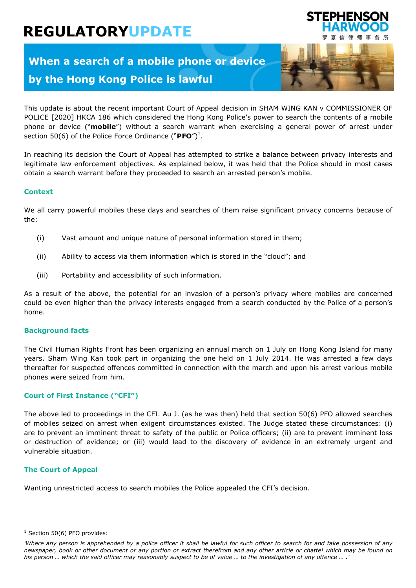# **REGULATORYUPDATE**

# **When a search of a mobile phone or device by the Hong Kong Police is lawful**



STEPHENSON

This update is about the recent important Court of Appeal decision in SHAM WING KAN v COMMISSIONER OF POLICE [2020] HKCA 186 which considered the Hong Kong Police's power to search the contents of a mobile phone or device ("**mobile**") without a search warrant when exercising a general power of arrest under section 50(6) of the Police Force Ordinance (" $PFO''$ )<sup>1</sup>.

In reaching its decision the Court of Appeal has attempted to strike a balance between privacy interests and legitimate law enforcement objectives. As explained below, it was held that the Police should in most cases obtain a search warrant before they proceeded to search an arrested person's mobile.

## **Context**

We all carry powerful mobiles these days and searches of them raise significant privacy concerns because of the:

- (i) Vast amount and unique nature of personal information stored in them;
- (ii) Ability to access via them information which is stored in the "cloud"; and
- (iii) Portability and accessibility of such information.

As a result of the above, the potential for an invasion of a person's privacy where mobiles are concerned could be even higher than the privacy interests engaged from a search conducted by the Police of a person's home.

## **Background facts**

The Civil Human Rights Front has been organizing an annual march on 1 July on Hong Kong Island for many years. Sham Wing Kan took part in organizing the one held on 1 July 2014. He was arrested a few days thereafter for suspected offences committed in connection with the march and upon his arrest various mobile phones were seized from him.

# **Court of First Instance ("CFI")**

The above led to proceedings in the CFI. Au J. (as he was then) held that section 50(6) PFO allowed searches of mobiles seized on arrest when exigent circumstances existed. The Judge stated these circumstances: (i) are to prevent an imminent threat to safety of the public or Police officers; (ii) are to prevent imminent loss or destruction of evidence; or (iii) would lead to the discovery of evidence in an extremely urgent and vulnerable situation.

## **The Court of Appeal**

Wanting unrestricted access to search mobiles the Police appealed the CFI's decision.

ı

 $1$  Section 50(6) PFO provides:

*<sup>&#</sup>x27;Where any person is apprehended by a police officer it shall be lawful for such officer to search for and take possession of any newspaper, book or other document or any portion or extract therefrom and any other article or chattel which may be found on his person … which the said officer may reasonably suspect to be of value … to the investigation of any offence … .'*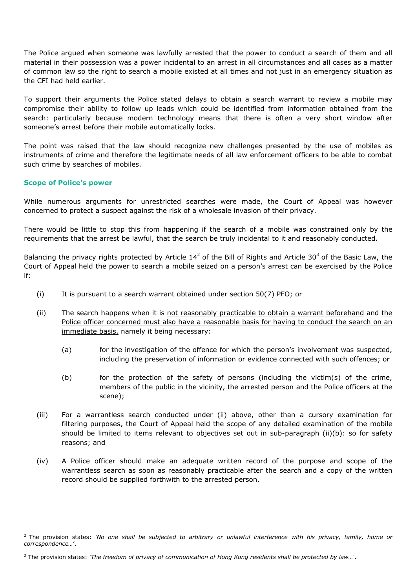The Police argued when someone was lawfully arrested that the power to conduct a search of them and all material in their possession was a power incidental to an arrest in all circumstances and all cases as a matter of common law so the right to search a mobile existed at all times and not just in an emergency situation as the CFI had held earlier.

To support their arguments the Police stated delays to obtain a search warrant to review a mobile may compromise their ability to follow up leads which could be identified from information obtained from the search: particularly because modern technology means that there is often a very short window after someone's arrest before their mobile automatically locks.

The point was raised that the law should recognize new challenges presented by the use of mobiles as instruments of crime and therefore the legitimate needs of all law enforcement officers to be able to combat such crime by searches of mobiles.

# **Scope of Police's power**

ł

While numerous arguments for unrestricted searches were made, the Court of Appeal was however concerned to protect a suspect against the risk of a wholesale invasion of their privacy.

There would be little to stop this from happening if the search of a mobile was constrained only by the requirements that the arrest be lawful, that the search be truly incidental to it and reasonably conducted.

Balancing the privacy rights protected by Article 14<sup>2</sup> of the Bill of Rights and Article 30<sup>3</sup> of the Basic Law, the Court of Appeal held the power to search a mobile seized on a person's arrest can be exercised by the Police if:

- (i) It is pursuant to a search warrant obtained under section 50(7) PFO; or
- (ii) The search happens when it is not reasonably practicable to obtain a warrant beforehand and the Police officer concerned must also have a reasonable basis for having to conduct the search on an immediate basis, namely it being necessary:
	- (a) for the investigation of the offence for which the person's involvement was suspected, including the preservation of information or evidence connected with such offences; or
	- (b) for the protection of the safety of persons (including the victim(s) of the crime, members of the public in the vicinity, the arrested person and the Police officers at the scene);
- (iii) For a warrantless search conducted under (ii) above, other than a cursory examination for filtering purposes, the Court of Appeal held the scope of any detailed examination of the mobile should be limited to items relevant to objectives set out in sub-paragraph (ii)(b): so for safety reasons; and
- (iv) A Police officer should make an adequate written record of the purpose and scope of the warrantless search as soon as reasonably practicable after the search and a copy of the written record should be supplied forthwith to the arrested person.

<sup>2</sup> The provision states: '*No one shall be subjected to arbitrary or unlawful interference with his privacy, family, home or correspondence…*'.

<sup>3</sup> The provision states: '*The freedom of privacy of communication of Hong Kong residents shall be protected by law…*'.